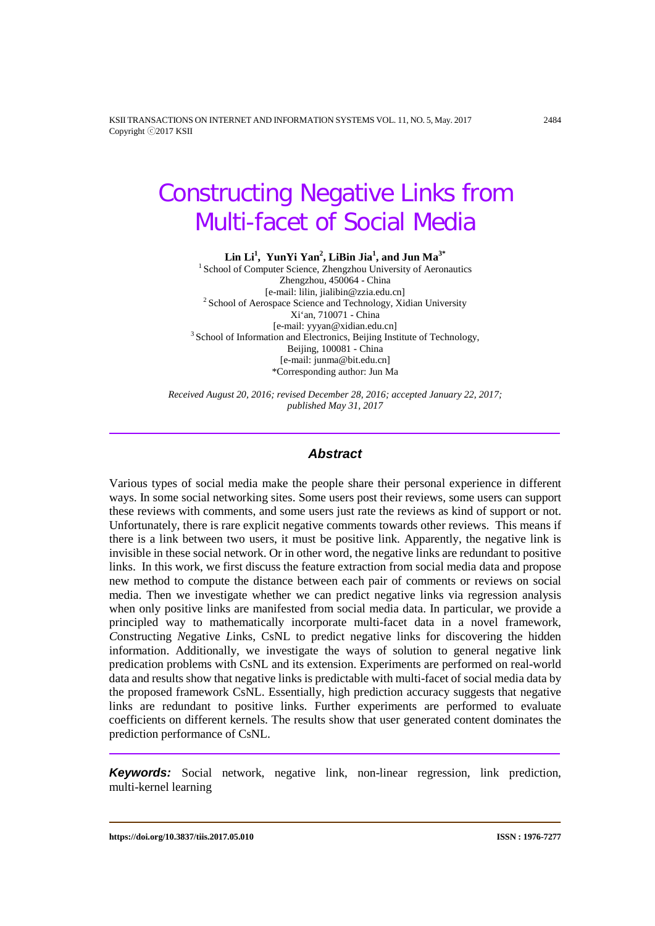KSII TRANSACTIONS ON INTERNET AND INFORMATION SYSTEMS VOL. 11, NO. 5, May. 2017 2484 Copyright ⓒ2017 KSII

# Constructing Negative Links from Multi-facet of Social Media

**Lin Li1 , YunYi Yan2 , LiBin Jia<sup>1</sup> , and Jun Ma3\***

<sup>1</sup> School of Computer Science, Zhengzhou University of Aeronautics Zhengzhou, 450064 - China [e-mail: lilin, jialibin@zzia.edu.cn] <sup>2</sup> School of Aerospace Science and Technology, Xidian University Xi'an, 710071 - China [e-mail: yyyan@xidian.edu.cn] <sup>3</sup> School of Information and Electronics, Beijing Institute of Technology, Beijing, 100081 - China [e-mail[: junma@bit.edu.cn\]](mailto:t.m.chen@swansea.ac.uk) \*Corresponding author: Jun Ma

*Received August 20, 2016; revised December 28, 2016; accepted January 22, 2017; published May 31, 2017*

#### *Abstract*

Various types of social media make the people share their personal experience in different ways. In some social networking sites. Some users post their reviews, some users can support these reviews with comments, and some users just rate the reviews as kind of support or not. Unfortunately, there is rare explicit negative comments towards other reviews. This means if there is a link between two users, it must be positive link. Apparently, the negative link is invisible in these social network. Or in other word, the negative links are redundant to positive links. In this work, we first discuss the feature extraction from social media data and propose new method to compute the distance between each pair of comments or reviews on social media. Then we investigate whether we can predict negative links via regression analysis when only positive links are manifested from social media data. In particular, we provide a principled way to mathematically incorporate multi-facet data in a novel framework, *C*on*s*tructing *N*egative *L*inks, CsNL to predict negative links for discovering the hidden information. Additionally, we investigate the ways of solution to general negative link predication problems with CsNL and its extension. Experiments are performed on real-world data and results show that negative links is predictable with multi-facet of social media data by the proposed framework CsNL. Essentially, high prediction accuracy suggests that negative links are redundant to positive links. Further experiments are performed to evaluate coefficients on different kernels. The results show that user generated content dominates the prediction performance of CsNL.

*Keywords:* Social network, negative link, non-linear regression, link prediction, multi-kernel learning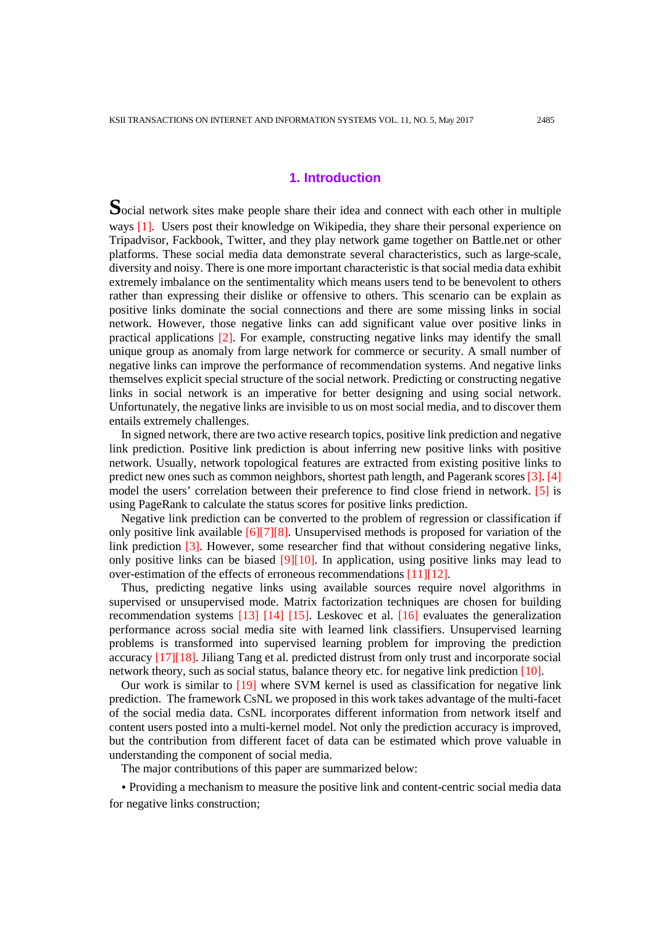## **1. Introduction**

Social network sites make people share their idea and connect with each other in multiple ways [1]. Users post their knowledge on Wikipedia, they share their personal experience on Tripadvisor, Fackbook, Twitter, and they play network game together on Battle.net or other platforms. These social media data demonstrate several characteristics, such as large-scale, diversity and noisy. There is one more important characteristic is that social media data exhibit extremely imbalance on the sentimentality which means users tend to be benevolent to others rather than expressing their dislike or offensive to others. This scenario can be explain as positive links dominate the social connections and there are some missing links in social network. However, those negative links can add significant value over positive links in practical applications [2]. For example, constructing negative links may identify the small unique group as anomaly from large network for commerce or security. A small number of negative links can improve the performance of recommendation systems. And negative links themselves explicit special structure of the social network. Predicting or constructing negative links in social network is an imperative for better designing and using social network. Unfortunately, the negative links are invisible to us on most social media, and to discover them entails extremely challenges.

In signed network, there are two active research topics, positive link prediction and negative link prediction. Positive link prediction is about inferring new positive links with positive network. Usually, network topological features are extracted from existing positive links to predict new ones such as common neighbors, shortest path length, and Pagerank scores [3]. [4] model the users' correlation between their preference to find close friend in network. [5] is using PageRank to calculate the status scores for positive links prediction.

Negative link prediction can be converted to the problem of regression or classification if only positive link available [6][7][8]. Unsupervised methods is proposed for variation of the link prediction [3]. However, some researcher find that without considering negative links, only positive links can be biased  $[9][10]$ . In application, using positive links may lead to over-estimation of the effects of erroneous recommendations [11][12].

Thus, predicting negative links using available sources require novel algorithms in supervised or unsupervised mode. Matrix factorization techniques are chosen for building recommendation systems [13] [14] [15]. Leskovec et al. [16] evaluates the generalization performance across social media site with learned link classifiers. Unsupervised learning problems is transformed into supervised learning problem for improving the prediction accuracy [17][18]. Jiliang Tang et al. predicted distrust from only trust and incorporate social network theory, such as social status, balance theory etc. for negative link prediction [10].

Our work is similar to [19] where SVM kernel is used as classification for negative link prediction. The framework CsNL we proposed in this work takes advantage of the multi-facet of the social media data. CsNL incorporates different information from network itself and content users posted into a multi-kernel model. Not only the prediction accuracy is improved, but the contribution from different facet of data can be estimated which prove valuable in understanding the component of social media.

The major contributions of this paper are summarized below:

• Providing a mechanism to measure the positive link and content-centric social media data for negative links construction;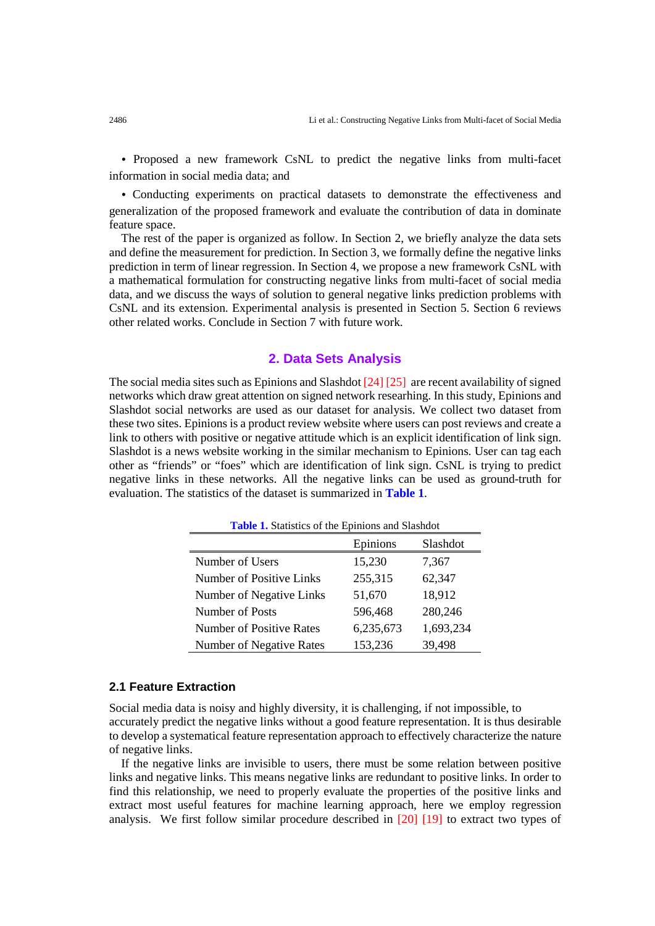• Proposed a new framework CsNL to predict the negative links from multi-facet information in social media data; and

• Conducting experiments on practical datasets to demonstrate the effectiveness and generalization of the proposed framework and evaluate the contribution of data in dominate feature space.

The rest of the paper is organized as follow. In Section 2, we briefly analyze the data sets and define the measurement for prediction. In Section 3, we formally define the negative links prediction in term of linear regression. In Section 4, we propose a new framework CsNL with a mathematical formulation for constructing negative links from multi-facet of social media data, and we discuss the ways of solution to general negative links prediction problems with CsNL and its extension. Experimental analysis is presented in Section 5. Section 6 reviews other related works. Conclude in Section 7 with future work.

## **2. Data Sets Analysis**

The social media sites such as Epinions and Slashdot [24] [25] are recent availability of signed networks which draw great attention on signed network researhing. In this study, Epinions and Slashdot social networks are used as our dataset for analysis. We collect two dataset from these two sites. Epinions is a product review website where users can post reviews and create a link to others with positive or negative attitude which is an explicit identification of link sign. Slashdot is a news website working in the similar mechanism to Epinions. User can tag each other as "friends" or "foes" which are identification of link sign. CsNL is trying to predict negative links in these networks. All the negative links can be used as ground-truth for evaluation. The statistics of the dataset is summarized in **Table 1**.

| <b>Table 1.</b> Statistics of the Epinions and Slashdot |           |           |  |  |
|---------------------------------------------------------|-----------|-----------|--|--|
|                                                         | Epinions  | Slashdot  |  |  |
| Number of Users                                         | 15,230    | 7,367     |  |  |
| Number of Positive Links                                | 255,315   | 62,347    |  |  |
| Number of Negative Links                                | 51,670    | 18,912    |  |  |
| Number of Posts                                         | 596,468   | 280,246   |  |  |
| Number of Positive Rates                                | 6,235,673 | 1,693,234 |  |  |
| Number of Negative Rates                                | 153,236   | 39,498    |  |  |

#### **2.1 Feature Extraction**

Social media data is noisy and highly diversity, it is challenging, if not impossible, to accurately predict the negative links without a good feature representation. It is thus desirable to develop a systematical feature representation approach to effectively characterize the nature of negative links.

If the negative links are invisible to users, there must be some relation between positive links and negative links. This means negative links are redundant to positive links. In order to find this relationship, we need to properly evaluate the properties of the positive links and extract most useful features for machine learning approach, here we employ regression analysis. We first follow similar procedure described in [20] [19] to extract two types of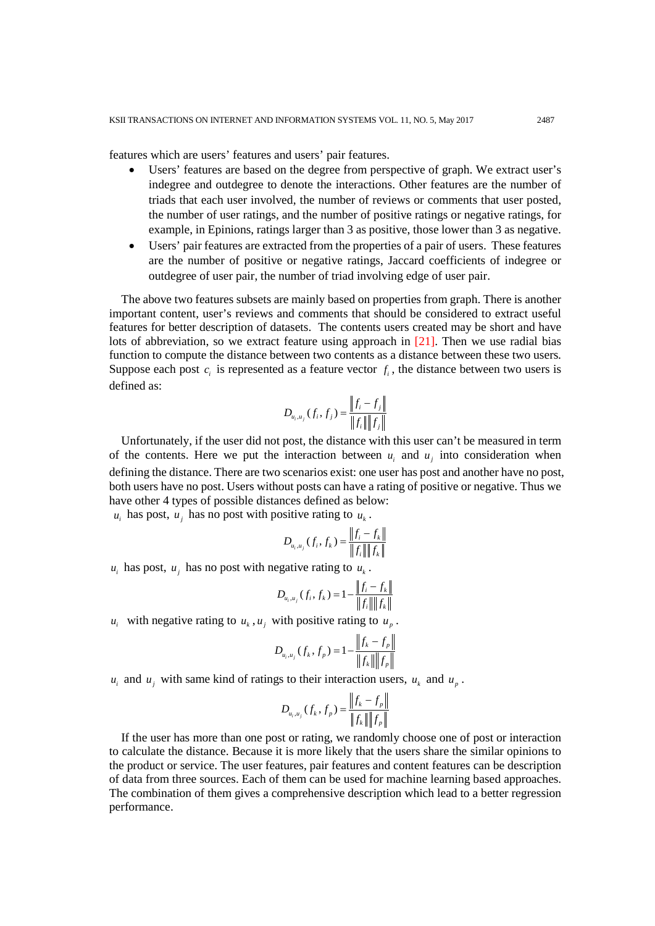features which are users' features and users' pair features.

- Users' features are based on the degree from perspective of graph. We extract user's indegree and outdegree to denote the interactions. Other features are the number of triads that each user involved, the number of reviews or comments that user posted, the number of user ratings, and the number of positive ratings or negative ratings, for example, in Epinions, ratings larger than 3 as positive, those lower than 3 as negative.
- Users' pair features are extracted from the properties of a pair of users. These features are the number of positive or negative ratings, Jaccard coefficients of indegree or outdegree of user pair, the number of triad involving edge of user pair.

The above two features subsets are mainly based on properties from graph. There is another important content, user's reviews and comments that should be considered to extract useful features for better description of datasets. The contents users created may be short and have lots of abbreviation, so we extract feature using approach in [21]. Then we use radial bias function to compute the distance between two contents as a distance between these two users. Suppose each post  $c_i$  is represented as a feature vector  $f_i$ , the distance between two users is defined as:

$$
D_{u_i, u_j}(f_i, f_j) = \frac{\left\|f_i - f_j\right\|}{\left\|f_i\right\| \left\|f_j\right\|}
$$

Unfortunately, if the user did not post, the distance with this user can't be measured in term of the contents. Here we put the interaction between  $u_i$  and  $u_j$  into consideration when defining the distance. There are two scenarios exist: one user has post and another have no post, both users have no post. Users without posts can have a rating of positive or negative. Thus we have other 4 types of possible distances defined as below:

 $u_i$  has post,  $u_j$  has no post with positive rating to  $u_k$ .

$$
D_{u_i, u_j}(f_i, f_k) = \frac{\|f_i - f_k\|}{\|f_i\| \|f_k\|}
$$

 $u_i$  has post,  $u_j$  has no post with negative rating to  $u_k$ .

$$
D_{u_i, u_j}(f_i, f_k) = 1 - \frac{\|f_i - f_k\|}{\|f_i\| \|f_k\|}
$$

 $u_i$  with negative rating to  $u_k$ ,  $u_j$  with positive rating to  $u_n$ .

$$
D_{u_i, u_j}(f_k, f_p) = 1 - \frac{\left\|f_k - f_p\right\|}{\left\|f_k\right\| \left\|f_p\right\|}
$$

 $u_i$  and  $u_j$  with same kind of ratings to their interaction users,  $u_k$  and  $u_p$ .

$$
D_{u_i, u_j}(f_k, f_p) = \frac{\|f_k - f_p\|}{\|f_k\| \|f_p\|}
$$

If the user has more than one post or rating, we randomly choose one of post or interaction to calculate the distance. Because it is more likely that the users share the similar opinions to the product or service. The user features, pair features and content features can be description of data from three sources. Each of them can be used for machine learning based approaches. The combination of them gives a comprehensive description which lead to a better regression performance.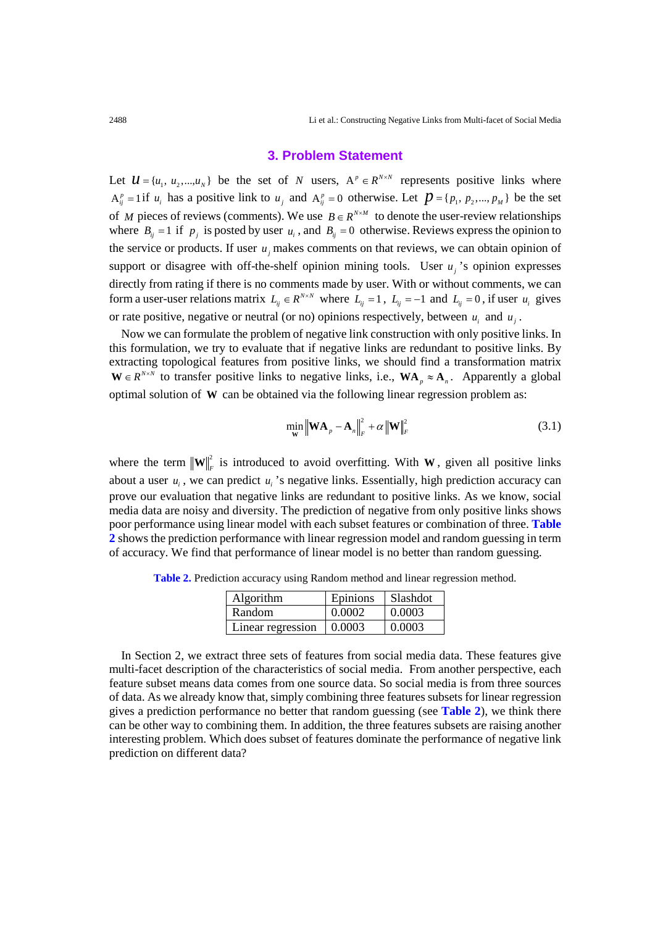## **3. Problem Statement**

Let  $\mathcal{U} = \{u_1, u_2, ..., u_N\}$  be the set of *N* users,  $A^p \in R^{N \times N}$  represents positive links where  $A_{ij}^p = 1$  if  $u_i$  has a positive link to  $u_j$  and  $A_{ij}^p = 0$  otherwise. Let  $p = \{p_1, p_2, ..., p_M\}$  be the set of *M* pieces of reviews (comments). We use  $B \in R^{N \times M}$  to denote the user-review relationships where  $B_{ij} = 1$  if  $p_j$  is posted by user  $u_i$ , and  $B_{ij} = 0$  otherwise. Reviews express the opinion to the service or products. If user  $u_i$  makes comments on that reviews, we can obtain opinion of support or disagree with off-the-shelf opinion mining tools. User  $u_i$ 's opinion expresses directly from rating if there is no comments made by user. With or without comments, we can form a user-user relations matrix  $L_{ij} \in R^{N \times N}$  where  $L_{ij} = 1$ ,  $L_{ij} = -1$  and  $L_{ij} = 0$ , if user  $u_i$  gives or rate positive, negative or neutral (or no) opinions respectively, between  $u_i$  and  $u_j$ .

Now we can formulate the problem of negative link construction with only positive links. In this formulation, we try to evaluate that if negative links are redundant to positive links. By extracting topological features from positive links, we should find a transformation matrix  $W \in R^{N \times N}$  to transfer positive links to negative links, i.e.,  $WA_p \approx A_n$ . Apparently a global optimal solution of **W** can be obtained via the following linear regression problem as:

$$
\min_{\mathbf{W}} \left\| \mathbf{W} \mathbf{A}_p - \mathbf{A}_n \right\|_F^2 + \alpha \left\| \mathbf{W} \right\|_F^2 \tag{3.1}
$$

where the term  $\|\mathbf{W}\|_F^2$  is introduced to avoid overfitting. With **W**, given all positive links about a user  $u_i$ , we can predict  $u_i$ 's negative links. Essentially, high prediction accuracy can prove our evaluation that negative links are redundant to positive links. As we know, social media data are noisy and diversity. The prediction of negative from only positive links shows poor performance using linear model with each subset features or combination of three. **Table 2** shows the prediction performance with linear regression model and random guessing in term of accuracy. We find that performance of linear model is no better than random guessing.

| Algorithm         | Epinions | Slashdot |
|-------------------|----------|----------|
| Random            | 0.0002   | 0.0003   |
| Linear regression | 0.0003   | 0.0003   |

**Table 2.** Prediction accuracy using Random method and linear regression method.

In Section 2, we extract three sets of features from social media data. These features give multi-facet description of the characteristics of social media. From another perspective, each feature subset means data comes from one source data. So social media is from three sources of data. As we already know that, simply combining three features subsets for linear regression gives a prediction performance no better that random guessing (see **Table 2**), we think there can be other way to combining them. In addition, the three features subsets are raising another interesting problem. Which does subset of features dominate the performance of negative link prediction on different data?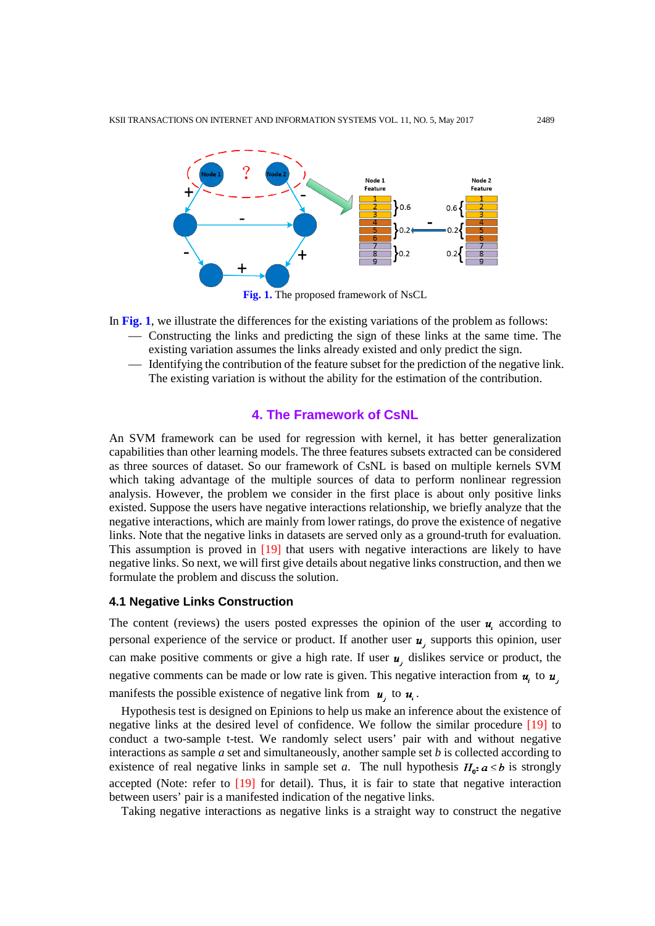

**Fig. 1.** The proposed framework of NsCL

In **Fig. 1**, we illustrate the differences for the existing variations of the problem as follows:

- Constructing the links and predicting the sign of these links at the same time. The existing variation assumes the links already existed and only predict the sign.
- Identifying the contribution of the feature subset for the prediction of the negative link. The existing variation is without the ability for the estimation of the contribution.

## **4. The Framework of CsNL**

An SVM framework can be used for regression with kernel, it has better generalization capabilities than other learning models. The three features subsets extracted can be considered as three sources of dataset. So our framework of CsNL is based on multiple kernels SVM which taking advantage of the multiple sources of data to perform nonlinear regression analysis. However, the problem we consider in the first place is about only positive links existed. Suppose the users have negative interactions relationship, we briefly analyze that the negative interactions, which are mainly from lower ratings, do prove the existence of negative links. Note that the negative links in datasets are served only as a ground-truth for evaluation. This assumption is proved in [19] that users with negative interactions are likely to have negative links. So next, we will first give details about negative links construction, and then we formulate the problem and discuss the solution.

## **4.1 Negative Links Construction**

The content (reviews) the users posted expresses the opinion of the user  $u_i$  according to personal experience of the service or product. If another user  $u$ , supports this opinion, user can make positive comments or give a high rate. If user  $u_i$ , dislikes service or product, the negative comments can be made or low rate is given. This negative interaction from  $u_i$  to  $u_j$ . manifests the possible existence of negative link from  $\mathbf{u}_i$  to  $\mathbf{u}_i$ .

Hypothesis test is designed on Epinions to help us make an inference about the existence of negative links at the desired level of confidence. We follow the similar procedure [19] to conduct a two-sample t-test. We randomly select users' pair with and without negative interactions as sample *a* set and simultaneously, another sample set *b* is collected according to existence of real negative links in sample set *a*. The null hypothesis  $H_0$ :  $a \le b$  is strongly accepted (Note: refer to  $[19]$  for detail). Thus, it is fair to state that negative interaction between users' pair is a manifested indication of the negative links.

Taking negative interactions as negative links is a straight way to construct the negative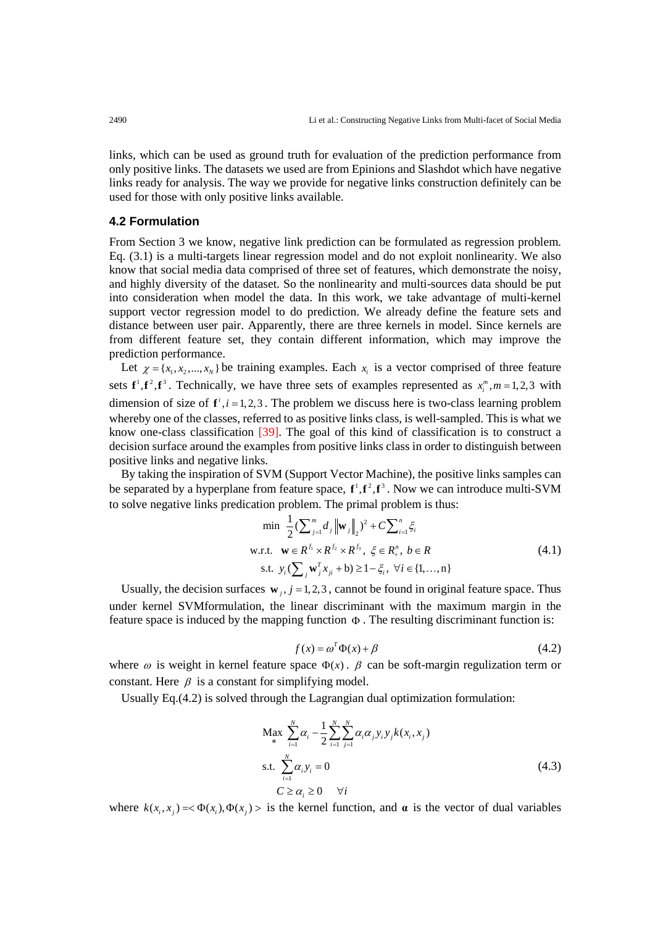links, which can be used as ground truth for evaluation of the prediction performance from only positive links. The datasets we used are from Epinions and Slashdot which have negative links ready for analysis. The way we provide for negative links construction definitely can be used for those with only positive links available.

#### **4.2 Formulation**

From Section 3 we know, negative link prediction can be formulated as regression problem. Eq. (3.1) is a multi-targets linear regression model and do not exploit nonlinearity. We also know that social media data comprised of three set of features, which demonstrate the noisy, and highly diversity of the dataset. So the nonlinearity and multi-sources data should be put into consideration when model the data. In this work, we take advantage of multi-kernel support vector regression model to do prediction. We already define the feature sets and distance between user pair. Apparently, there are three kernels in model. Since kernels are from different feature set, they contain different information, which may improve the prediction performance.

Let  $\chi = \{x_1, x_2, ..., x_N\}$  be training examples. Each  $x_i$  is a vector comprised of three feature sets  $f^1, f^2, f^3$ . Technically, we have three sets of examples represented as  $x_i^m, m = 1,2,3$  with dimension of size of  $f^{i}$ ,  $i = 1, 2, 3$ . The problem we discuss here is two-class learning problem whereby one of the classes, referred to as positive links class, is well-sampled. This is what we know one-class classification [39]. The goal of this kind of classification is to construct a decision surface around the examples from positive links class in order to distinguish between positive links and negative links.

By taking the inspiration of SVM (Support Vector Machine), the positive links samples can be separated by a hyperplane from feature space,  $f^1, f^2, f^3$ . Now we can introduce multi-SVM to solve negative links predication problem. The primal problem is thus:

$$
\min \frac{1}{2} \left( \sum_{j=1}^{m} d_j \left\| \mathbf{w}_j \right\|_2 \right)^2 + C \sum_{i=1}^{n} \xi_i
$$
\nw.r.t.

\n
$$
\mathbf{w} \in R^{f_1} \times R^{f_2} \times R^{f_3}, \ \xi \in R_+^n, \ b \in R
$$
\ns.t.

\n
$$
y_i \left( \sum_j \mathbf{w}_j^T x_{ji} + \mathbf{b} \right) \ge 1 - \xi_i, \ \forall i \in \{1, ..., n\}
$$
\n(4.1)

Usually, the decision surfaces  $\mathbf{w}_i$ ,  $j = 1,2,3$ , cannot be found in original feature space. Thus under kernel SVMformulation, the linear discriminant with the maximum margin in the feature space is induced by the mapping function  $\Phi$ . The resulting discriminant function is:

$$
f(x) = \omega^T \Phi(x) + \beta \tag{4.2}
$$

where  $\omega$  is weight in kernel feature space  $\Phi(x)$ .  $\beta$  can be soft-margin regulization term or constant. Here  $\beta$  is a constant for simplifying model.

Usually Eq.(4.2) is solved through the Lagrangian dual optimization formulation:

$$
\begin{aligned} \n\mathbf{M}_{\mathbf{a}} \mathbf{x} \sum_{i=1}^{N} \alpha_i - \frac{1}{2} \sum_{i=1}^{N} \sum_{j=1}^{N} \alpha_i \alpha_j y_i y_j k(x_i, x_j) \\
\text{s.t.} \sum_{i=1}^{N} \alpha_i y_i &= 0 \\
C \ge \alpha_i \ge 0 \quad \forall i \n\end{aligned} \tag{4.3}
$$

where  $k(x_i, x_j) = \langle \Phi(x_i), \Phi(x_j) \rangle$  is the kernel function, and **a** is the vector of dual variables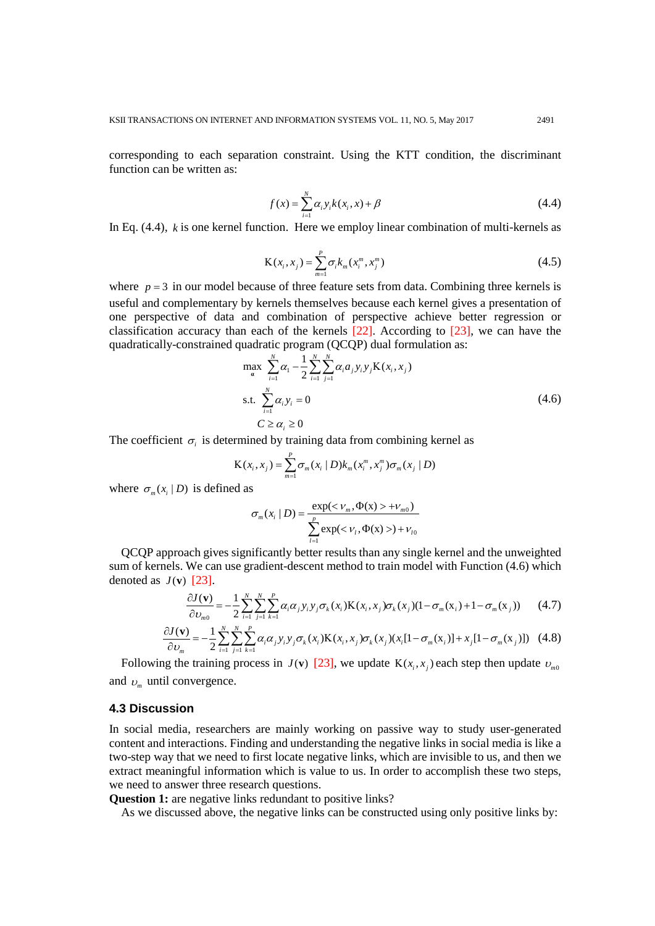corresponding to each separation constraint. Using the KTT condition, the discriminant function can be written as:

$$
f(x) = \sum_{i=1}^{N} \alpha_i y_i k(x_i, x) + \beta
$$
\n(4.4)

In Eq. (4.4), *k* is one kernel function. Here we employ linear combination of multi-kernels as

$$
K(x_i, x_j) = \sum_{m=1}^{P} \sigma_i k_m(x_i^m, x_j^m)
$$
\n(4.5)

where  $p = 3$  in our model because of three feature sets from data. Combining three kernels is useful and complementary by kernels themselves because each kernel gives a presentation of one perspective of data and combination of perspective achieve better regression or classification accuracy than each of the kernels [22]. According to [23], we can have the quadratically-constrained quadratic program (QCQP) dual formulation as:

$$
\max_{\mathbf{a}} \sum_{i=1}^{N} \alpha_{i} - \frac{1}{2} \sum_{i=1}^{N} \sum_{j=1}^{N} \alpha_{i} a_{j} y_{i} y_{j} \mathbf{K}(x_{i}, x_{j})
$$
  
s.t. 
$$
\sum_{i=1}^{N} \alpha_{i} y_{i} = 0
$$
  

$$
C \ge \alpha_{i} \ge 0
$$
 (4.6)

The coefficient  $\sigma_i$  is determined by training data from combining kernel as

$$
K(x_i, x_j) = \sum_{m=1}^{P} \sigma_m(x_i | D) k_m(x_i^m, x_j^m) \sigma_m(x_j | D)
$$

where  $\sigma_m(x_i | D)$  is defined as

$$
\sigma_m(x_i \mid D) = \frac{\exp(<\nu_m, \Phi(x) > +\nu_{m0})}{\sum_{l=1}^p \exp(<\nu_l, \Phi(x) >) +\nu_{l0}}
$$

QCQP approach gives significantly better results than any single kernel and the unweighted sum of kernels. We can use gradient-descent method to train model with Function (4.6) which denoted as  $J(\mathbf{v})$  [23].

$$
\frac{\partial J(\mathbf{v})}{\partial v_{m0}} = -\frac{1}{2} \sum_{i=1}^{N} \sum_{j=1}^{N} \sum_{k=1}^{P} \alpha_i \alpha_j y_i y_j \sigma_k(x_i) \mathbf{K}(x_i, x_j) \sigma_k(x_j) (1 - \sigma_m(x_i) + 1 - \sigma_m(x_j)) \tag{4.7}
$$

$$
\frac{\partial J(\mathbf{v})}{\partial v_m} = -\frac{1}{2} \sum_{i=1}^N \sum_{j=1}^N \sum_{k=1}^P \alpha_i \alpha_j y_i y_j \sigma_k(x_i) \mathbf{K}(x_i, x_j) \sigma_k(x_j) (x_i[1 - \sigma_m(x_i)] + x_j[1 - \sigma_m(x_j)]) \quad (4.8)
$$

Following the training process in *J*(**v**) [23], we update  $K(x_i, x_j)$  each step then update  $v_{m0}$ and  $v_m$  until convergence.

#### **4.3 Discussion**

In social media, researchers are mainly working on passive way to study user-generated content and interactions. Finding and understanding the negative links in social media is like a two-step way that we need to first locate negative links, which are invisible to us, and then we extract meaningful information which is value to us. In order to accomplish these two steps, we need to answer three research questions.

**Question 1:** are negative links redundant to positive links?

As we discussed above, the negative links can be constructed using only positive links by: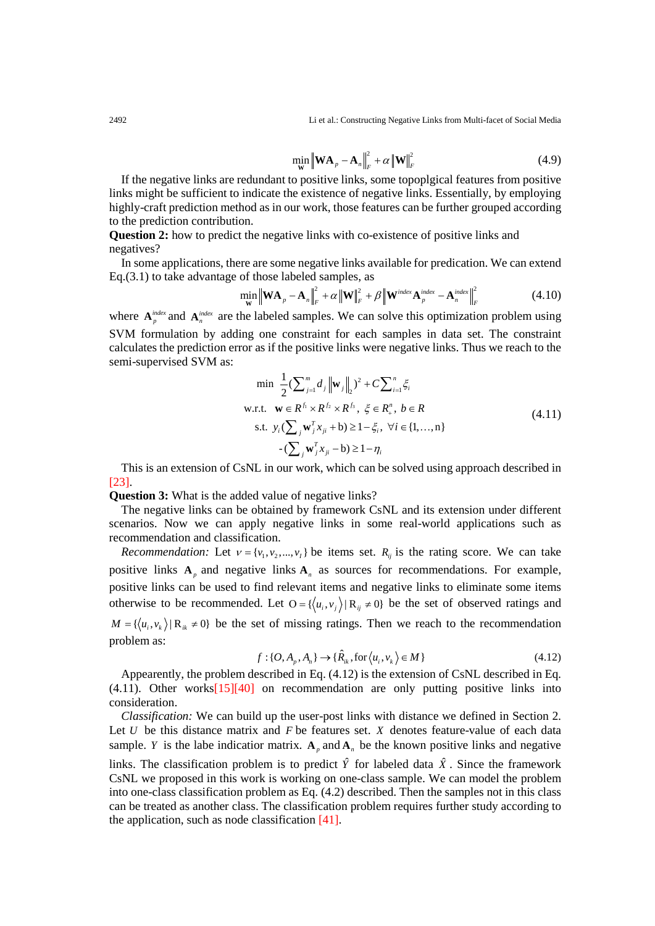2492 Li et al.: Constructing Negative Links from Multi-facet of Social Media

$$
\min_{\mathbf{W}} \left\| \mathbf{W} \mathbf{A}_{p} - \mathbf{A}_{n} \right\|_{F}^{2} + \alpha \left\| \mathbf{W} \right\|_{F}^{2}
$$
\n(4.9)

If the negative links are redundant to positive links, some topoplgical features from positive links might be sufficient to indicate the existence of negative links. Essentially, by employing highly-craft prediction method as in our work, those features can be further grouped according to the prediction contribution.

**Question 2:** how to predict the negative links with co-existence of positive links and negatives?

In some applications, there are some negative links available for predication. We can extend Eq.(3.1) to take advantage of those labeled samples, as

$$
\min_{\mathbf{W}} \left\| \mathbf{W} \mathbf{A}_p - \mathbf{A}_n \right\|_F^2 + \alpha \left\| \mathbf{W} \right\|_F^2 + \beta \left\| \mathbf{W}^{index} \mathbf{A}_p^{index} - \mathbf{A}_n^{index} \right\|_F^2 \tag{4.10}
$$

where  $\mathbf{A}_n^{index}$  and  $\mathbf{A}_n^{index}$  are the labeled samples. We can solve this optimization problem using SVM formulation by adding one constraint for each samples in data set. The constraint calculates the prediction error as if the positive links were negative links. Thus we reach to the semi-supervised SVM as:

$$
\min \frac{1}{2} (\sum_{j=1}^{m} d_j \|\mathbf{w}_j\|_2)^2 + C \sum_{i=1}^{n} \xi_i
$$
  
w.r.t.  $\mathbf{w} \in R^{f_1} \times R^{f_2} \times R^{f_3}, \ \xi \in R^n_+, \ b \in R$   
s.t.  $y_i (\sum_j \mathbf{w}_j^T x_{ji} + \mathbf{b}) \ge 1 - \xi_i, \ \forall i \in \{1, ..., n\}$   
- $(\sum_j \mathbf{w}_j^T x_{ji} - \mathbf{b}) \ge 1 - \eta_i$  (4.11)

This is an extension of CsNL in our work, which can be solved using approach described in [23].

**Question 3:** What is the added value of negative links?

The negative links can be obtained by framework CsNL and its extension under different scenarios. Now we can apply negative links in some real-world applications such as recommendation and classification.

*Recommendation:* Let  $v = \{v_1, v_2, ..., v_t\}$  be items set.  $R_{ij}$  is the rating score. We can take positive links  $A_p$  and negative links  $A_n$  as sources for recommendations. For example, positive links can be used to find relevant items and negative links to eliminate some items otherwise to be recommended. Let  $O = \{ \langle u_i, v_j \rangle | R_{ij} \neq 0 \}$  be the set of observed ratings and  $M = \{ \langle u_i, v_k \rangle | R_{ik} \neq 0 \}$  be the set of missing ratings. Then we reach to the recommendation problem as:

$$
f: \{O, A_p, A_n\} \to \{\hat{R}_k, \text{for}\langle u_i, v_k \rangle \in M\}
$$
\n(4.12)

Appearently, the problem described in Eq. (4.12) is the extension of CsNL described in Eq.  $(4.11)$ . Other works $[15][40]$  on recommendation are only putting positive links into consideration.

*Classification:* We can build up the user-post links with distance we defined in Section 2. Let *U* be this distance matrix and *F* be features set. *X* denotes feature-value of each data sample. *Y* is the labe indicatior matrix.  $A_p$  and  $A_p$  be the known positive links and negative

links. The classification problem is to predict  $\hat{Y}$  for labeled data  $\hat{X}$ . Since the framework CsNL we proposed in this work is working on one-class sample. We can model the problem into one-class classification problem as Eq. (4.2) described. Then the samples not in this class can be treated as another class. The classification problem requires further study according to the application, such as node classification  $[41]$ .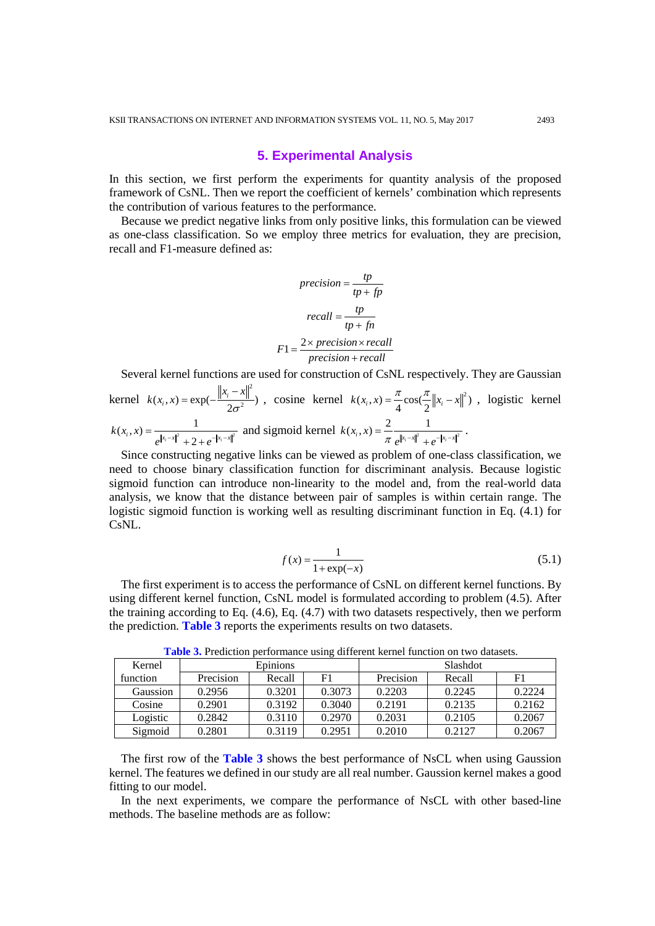#### **5. Experimental Analysis**

In this section, we first perform the experiments for quantity analysis of the proposed framework of CsNL. Then we report the coefficient of kernels' combination which represents the contribution of various features to the performance.

Because we predict negative links from only positive links, this formulation can be viewed as one-class classification. So we employ three metrics for evaluation, they are precision, recall and F1-measure defined as:

$$
precision = \frac{tp}{tp + fp}
$$

$$
recall = \frac{tp}{tp + fn}
$$

$$
F1 = \frac{2 \times precision \times recall}{precision + recall}
$$

Several kernel functions are used for construction of CsNL respectively. They are Gaussian

kernel 2  $(x_i, x) = \exp(-\frac{||x_i - x||}{2\sigma^2})$  $k(x_i, x) = \exp(-\frac{\|x_i - x\|^2}{2\sigma^2})$ , cosine kernel  $k(x_i, x) = \frac{\pi}{4}\cos(\frac{\pi}{2} \|x_i - x\|^2)$ , logistic kernel  $(x_i, x) = \frac{1}{|x - y|^2}$  $k(x_i, x) = \frac{1}{e^{\|x_i - x\|^2} + 2 + e^{-\|x_i - x\|^2}}$ and sigmoid kernel  $k(x_i, x) = \frac{2}{\pi} \frac{1}{e^{\|x_i - x\|^2} + e^{-\|x_i - x\|^2}}$ .

Since constructing negative links can be viewed as problem of one-class classification, we need to choose binary classification function for discriminant analysis. Because logistic sigmoid function can introduce non-linearity to the model and, from the real-world data analysis, we know that the distance between pair of samples is within certain range. The logistic sigmoid function is working well as resulting discriminant function in Eq. (4.1) for CsNL.

$$
f(x) = \frac{1}{1 + \exp(-x)}
$$
(5.1)

The first experiment is to access the performance of CsNL on different kernel functions. By using different kernel function, CsNL model is formulated according to problem (4.5). After the training according to Eq. (4.6), Eq. (4.7) with two datasets respectively, then we perform the prediction. **Table 3** reports the experiments results on two datasets.

| Kernel   | Epinions  |        |                | <b>Slashdot</b> |        |                |  |
|----------|-----------|--------|----------------|-----------------|--------|----------------|--|
| function | Precision | Recall | F <sub>1</sub> | Precision       | Recall | F <sub>1</sub> |  |
| Gaussion | 0.2956    | 0.3201 | 0.3073         | 0.2203          | 0.2245 | 0.2224         |  |
| Cosine   | 0.2901    | 0.3192 | 0.3040         | 0.2191          | 0.2135 | 0.2162         |  |
| Logistic | 0.2842    | 0.3110 | 0.2970         | 0.2031          | 0.2105 | 0.2067         |  |
| Sigmoid  | 0.2801    | 0.3119 | 0.2951         | 0.2010          | 0.2127 | 0.2067         |  |

**Table 3.** Prediction performance using different kernel function on two datasets.

The first row of the **Table 3** shows the best performance of NsCL when using Gaussion kernel. The features we defined in our study are all real number. Gaussion kernel makes a good fitting to our model.

In the next experiments, we compare the performance of NsCL with other based-line methods. The baseline methods are as follow: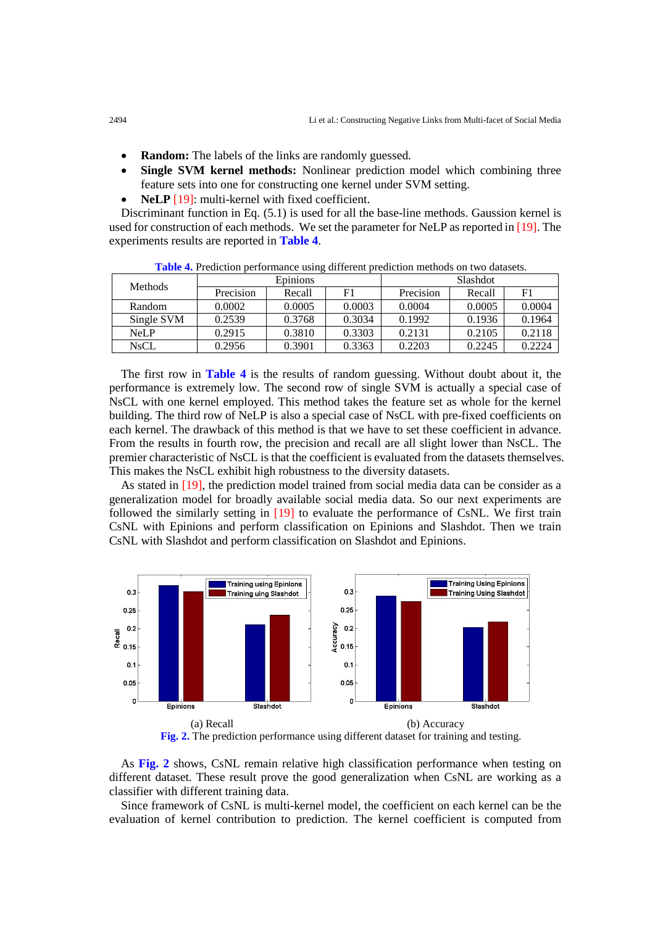- **Random:** The labels of the links are randomly guessed.
- **Single SVM kernel methods:** Nonlinear prediction model which combining three feature sets into one for constructing one kernel under SVM setting.
- **NeLP** [19]: multi-kernel with fixed coefficient.

Discriminant function in Eq. (5.1) is used for all the base-line methods. Gaussion kernel is used for construction of each methods. We set the parameter for NeLP as reported in [19]. The experiments results are reported in **Table 4**.

| <b>Methods</b> | Epinions  |        |        | Slashdot  |        |        |
|----------------|-----------|--------|--------|-----------|--------|--------|
|                | Precision | Recall | F1     | Precision | Recall | F1     |
| Random         | 0.0002    | 0.0005 | 0.0003 | 0.0004    | 0.0005 | 0.0004 |
| Single SVM     | 0.2539    | 0.3768 | 0.3034 | 0.1992    | 0.1936 | 0.1964 |
| NeLP           | 0.2915    | 0.3810 | 0.3303 | 0.2131    | 0.2105 | 0.2118 |
| <b>NsCL</b>    | 0.2956    | 0.3901 | 0.3363 | 0.2203    | 0.2245 | 0.2224 |

**Table 4.** Prediction performance using different prediction methods on two datasets.

The first row in **Table 4** is the results of random guessing. Without doubt about it, the performance is extremely low. The second row of single SVM is actually a special case of NsCL with one kernel employed. This method takes the feature set as whole for the kernel building. The third row of NeLP is also a special case of NsCL with pre-fixed coefficients on each kernel. The drawback of this method is that we have to set these coefficient in advance. From the results in fourth row, the precision and recall are all slight lower than NsCL. The premier characteristic of NsCL is that the coefficient is evaluated from the datasets themselves. This makes the NsCL exhibit high robustness to the diversity datasets.

As stated in [19], the prediction model trained from social media data can be consider as a generalization model for broadly available social media data. So our next experiments are followed the similarly setting in [19] to evaluate the performance of CsNL. We first train CsNL with Epinions and perform classification on Epinions and Slashdot. Then we train CsNL with Slashdot and perform classification on Slashdot and Epinions.



**Fig. 2.** The prediction performance using different dataset for training and testing.

As **Fig. 2** shows, CsNL remain relative high classification performance when testing on different dataset. These result prove the good generalization when CsNL are working as a classifier with different training data.

Since framework of CsNL is multi-kernel model, the coefficient on each kernel can be the evaluation of kernel contribution to prediction. The kernel coefficient is computed from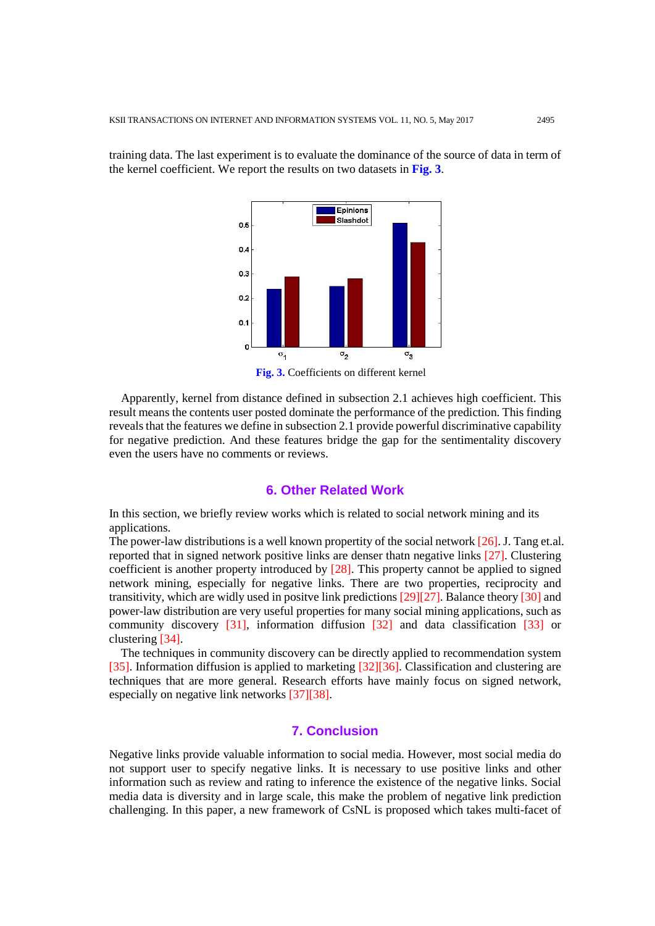training data. The last experiment is to evaluate the dominance of the source of data in term of the kernel coefficient. We report the results on two datasets in **Fig. 3**.



**Fig. 3.** Coefficients on different kernel

Apparently, kernel from distance defined in subsection 2.1 achieves high coefficient. This result means the contents user posted dominate the performance of the prediction. This finding reveals that the features we define in subsection 2.1 provide powerful discriminative capability for negative prediction. And these features bridge the gap for the sentimentality discovery even the users have no comments or reviews.

### **6. Other Related Work**

In this section, we briefly review works which is related to social network mining and its applications.

The power-law distributions is a well known propertity of the social network [26]. J. Tang et.al. reported that in signed network positive links are denser thatn negative links [27]. Clustering coefficient is another property introduced by [28]. This property cannot be applied to signed network mining, especially for negative links. There are two properties, reciprocity and transitivity, which are widly used in positve link predictions [29][27]. Balance theory [30] and power-law distribution are very useful properties for many social mining applications, such as community discovery [31], information diffusion [32] and data classification [33] or clustering [34].

The techniques in community discovery can be directly applied to recommendation system [35]. Information diffusion is applied to marketing [32][36]. Classification and clustering are techniques that are more general. Research efforts have mainly focus on signed network, especially on negative link networks [37][38].

## **7. Conclusion**

Negative links provide valuable information to social media. However, most social media do not support user to specify negative links. It is necessary to use positive links and other information such as review and rating to inference the existence of the negative links. Social media data is diversity and in large scale, this make the problem of negative link prediction challenging. In this paper, a new framework of CsNL is proposed which takes multi-facet of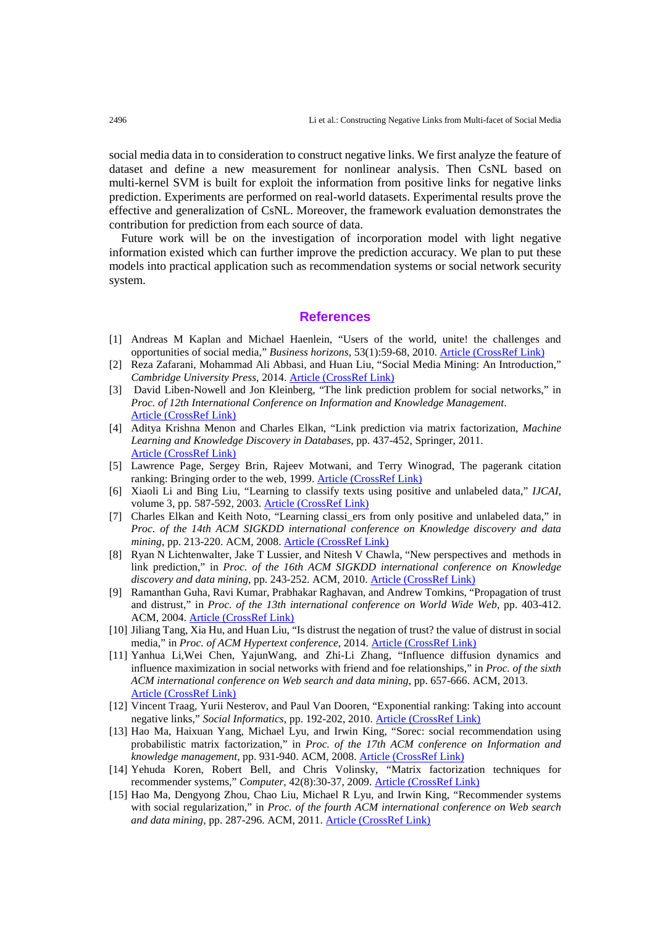social media data in to consideration to construct negative links. We first analyze the feature of dataset and define a new measurement for nonlinear analysis. Then CsNL based on multi-kernel SVM is built for exploit the information from positive links for negative links prediction. Experiments are performed on real-world datasets. Experimental results prove the effective and generalization of CsNL. Moreover, the framework evaluation demonstrates the contribution for prediction from each source of data.

Future work will be on the investigation of incorporation model with light negative information existed which can further improve the prediction accuracy. We plan to put these models into practical application such as recommendation systems or social network security system.

#### **References**

- [1] Andreas M Kaplan and Michael Haenlein, "Users of the world, unite! the challenges and opportunities of social media," *Business horizons*, 53(1):59-68, 2010. [Article \(CrossRef Link\)](http://www.sciencedirect.com/science/article/pii/S0007681309001232)
- [2] Reza Zafarani, Mohammad Ali Abbasi, and Huan Liu, "Social Media Mining: An Introduction," *Cambridge University Press*, 2014. [Article \(CrossRef Link\)](http://dx.doi.org/doi:10.1017/CBO9781139088510)
- [3] David Liben-Nowell and Jon Kleinberg, "The link prediction problem for social networks," in *Proc. of 12th International Conference on Information and Knowledge Management*. [Article \(CrossRef Link\)](http://dx.doi.org/doi:10.1145/956863.956972)
- [4] Aditya Krishna Menon and Charles Elkan, "Link prediction via matrix factorization, *Machine Learning and Knowledge Discovery in Databases*, pp. 437-452, Springer, 2011. [Article \(CrossRef Link\)](http://dx.doi.org/doi:10.1007/978-3-642-23783-6_28)
- [5] Lawrence Page, Sergey Brin, Rajeev Motwani, and Terry Winograd, The pagerank citation ranking: Bringing order to the web, 1999. [Article \(CrossRef Link\)](http://dx.doi.org/doi:10.1.1.31.1768)
- [6] Xiaoli Li and Bing Liu, "Learning to classify texts using positive and unlabeled data," *IJCAI*, volume 3, pp. 587-592, 2003. [Article \(CrossRef Link\)](http://ijcai.org/Past+Proceedings/IJCAI-2003/PDF/087.pdf)
- [7] Charles Elkan and Keith Noto, "Learning classi\_ers from only positive and unlabeled data," in *Proc. of the 14th ACM SIGKDD international conference on Knowledge discovery and data mining*, pp. 213-220. ACM, 2008. [Article \(CrossRef Link\)](http://dx.doi.org/doi:10.1145/1401890.1401920)
- [8] Ryan N Lichtenwalter, Jake T Lussier, and Nitesh V Chawla, "New perspectives and methods in link prediction," in *Proc. of the 16th ACM SIGKDD international conference on Knowledge discovery and data mining*, pp. 243-252. ACM, 2010. [Article \(CrossRef Link\)](http://dx.doi.org/doi:10.1145/1835804.1835837)
- [9] Ramanthan Guha, Ravi Kumar, Prabhakar Raghavan, and Andrew Tomkins, "Propagation of trust and distrust," in *Proc. of the 13th international conference on World Wide Web*, pp. 403-412. ACM, 2004. [Article \(CrossRef Link\)](http://dx.doi.org/doi:10.1145/988672.988727)
- [10] Jiliang Tang, Xia Hu, and Huan Liu, "Is distrust the negation of trust? the value of distrust in social media," in *Proc. of ACM Hypertext conference*, 2014. [Article \(CrossRef Link\)](http://dx.doi.org/doi:10.1145/2631775.2631793)
- [11] Yanhua Li,Wei Chen, YajunWang, and Zhi-Li Zhang, "Influence diffusion dynamics and influence maximization in social networks with friend and foe relationships," in *Proc. of the sixth ACM international conference on Web search and data mining*, pp. 657-666. ACM, 2013. [Article \(CrossRef Link\)](http://dx.doi.org/doi:10.1145/2631775.2631793)
- [12] Vincent Traag, Yurii Nesterov, and Paul Van Dooren, "Exponential ranking: Taking into account negative links," *Social Informatics*, pp. 192-202, 2010. [Article \(CrossRef Link\)](http://dx.doi.org/doi:10.1007/978-3-642-16567-2_14)
- [13] Hao Ma, Haixuan Yang, Michael Lyu, and Irwin King, "Sorec: social recommendation using probabilistic matrix factorization," in *Proc. of the 17th ACM conference on Information and knowledge management*, pp. 931-940. ACM, 2008. [Article \(CrossRef Link\)](http://dx.doi.org/doi:10.1145/1458082.1458205)
- [14] Yehuda Koren, Robert Bell, and Chris Volinsky, "Matrix factorization techniques for recommender systems," *Computer*, 42(8):30-37, 2009. [Article \(CrossRef Link\)](http://dx.doi.org/doi:10.1109/MC.2009.263)
- [15] Hao Ma, Dengyong Zhou, Chao Liu, Michael R Lyu, and Irwin King, "Recommender systems with social regularization," in *Proc. of the fourth ACM international conference on Web search and data mining*, pp. 287-296. ACM, 2011. [Article \(CrossRef Link\)](http://dx.doi.org/doi:10.1145/1935826.1935877)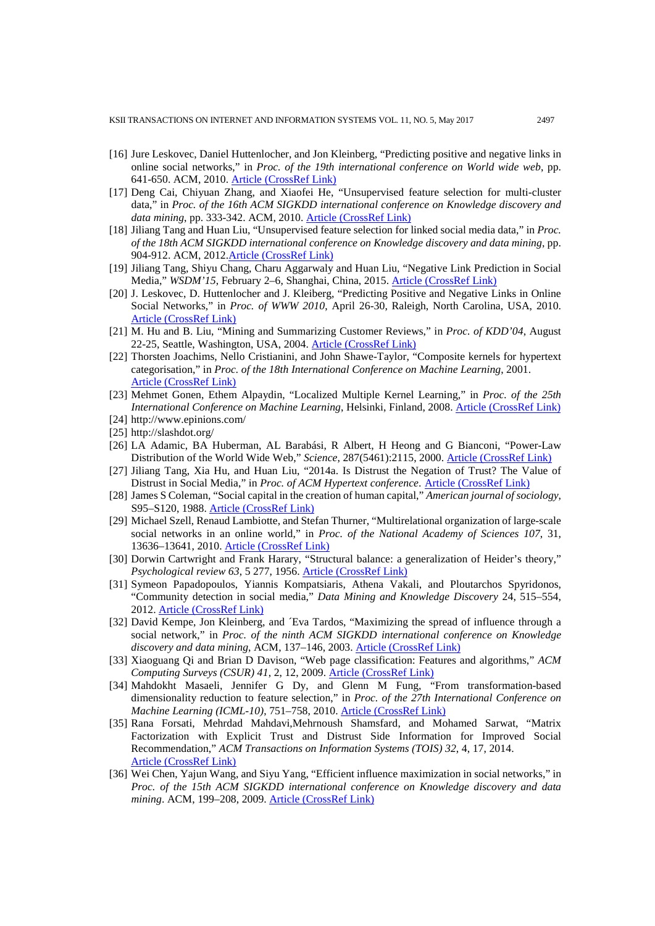- [16] Jure Leskovec, Daniel Huttenlocher, and Jon Kleinberg, "Predicting positive and negative links in online social networks," in *Proc. of the 19th international conference on World wide web*, pp. 641-650. ACM, 2010. [Article \(CrossRef Link\)](http://dx.doi.org/doi:10.1145/1772690.1772756)
- [17] Deng Cai, Chiyuan Zhang, and Xiaofei He, "Unsupervised feature selection for multi-cluster data," in *Proc. of the 16th ACM SIGKDD international conference on Knowledge discovery and data mining*, pp. 333-342. ACM, 2010. [Article \(CrossRef Link\)](http://dx.doi.org/doi:10.1145/1835804.1835848)
- [18] Jiliang Tang and Huan Liu, "Unsupervised feature selection for linked social media data," in *Proc. of the 18th ACM SIGKDD international conference on Knowledge discovery and data mining*, pp. 904-912. ACM, 2012[.Article \(CrossRef Link\)](http://dx.doi.org/doi:10.1145/2339530.2339673)
- [19] Jiliang Tang, Shiyu Chang, Charu Aggarwaly and Huan Liu, "Negative Link Prediction in Social Media," *WSDM'15*, February 2–6, Shanghai, China, 2015. Article [\(CrossRef Link\)](http://dx.doi.org/doi:10.1145/2684822.2685295)
- [20] J. Leskovec, D. Huttenlocher and J. Kleiberg, "Predicting Positive and Negative Links in Online Social Networks," in *Proc. of WWW 2010*, April 26-30, Raleigh, North Carolina, USA, 2010. [Article \(CrossRef Link\)](http://dx.doi.org/doi:10.1145/1772690.1772756)
- [21] M. Hu and B. Liu, "Mining and Summarizing Customer Reviews," in *Proc. of KDD'04*, August 22-25, Seattle, Washington, USA, 2004. [Article \(CrossRef Link\)](http://dx.doi.org/doi:10.1145/1014052.1014073)
- [22] Thorsten Joachims, Nello Cristianini, and John Shawe-Taylor, "Composite kernels for hypertext categorisation," in *Proc. of the 18th International Conference on Machine Learning*, 2001. [Article \(CrossRef Link\)](http://eprints.soton.ac.uk/id/eprint/259619)
- [23] Mehmet Gonen, Ethem Alpaydin, "Localized Multiple Kernel Learning," in *Proc. of the 25th International Conference on Machine Learning*, Helsinki, Finland, 2008. [Article \(CrossRef Link\)](http://dx.doi.org/doi:10.1145/1390156.1390201)
- [24] http://www.epinions.com/
- [25] http://slashdot.org/
- [26] LA Adamic, BA Huberman, AL Barabási, R Albert, H Heong and G Bianconi, "Power-Law Distribution of the World Wide Web," *Science*, 287(5461):2115, 2000. [Article \(CrossRef Link\)](http://dx.doi.org/doi:%2010.1126/science.287.5461.2115a)
- [27] Jiliang Tang, Xia Hu, and Huan Liu, "2014a. Is Distrust the Negation of Trust? The Value of Distrust in Social Media," in *Proc. of ACM Hypertext conference*. [Article \(CrossRef Link\)](https://doi.org/10.1145/2631775.2631793)
- [28] James S Coleman, "Social capital in the creation of human capital," *American journal of sociology*, S95–S120, 1988. [Article \(CrossRef Link\)](https://ssrn.com/abstract=1505872)
- [29] Michael Szell, Renaud Lambiotte, and Stefan Thurner, "Multirelational organization of large-scale social networks in an online world," in *Proc. of the National Academy of Sciences 107*, 31, 13636–13641, 2010. [Article \(CrossRef Link\)](http://dx.doi.org/doi:10.1073/pnas.1004008107)
- [30] Dorwin Cartwright and Frank Harary, "Structural balance: a generalization of Heider's theory," *Psychological review 63*, 5 277, 1956. [Article \(CrossRef Link\)](http://dx.doi.org/10.1016/B978-0-12-442450-0.50008-0)
- [31] Symeon Papadopoulos, Yiannis Kompatsiaris, Athena Vakali, and Ploutarchos Spyridonos, "Community detection in social media," *Data Mining and Knowledge Discovery* 24, 515–554, 2012. [Article \(CrossRef Link\)](http://dx.doi.org/doi:10.1007/s10618-011-0224-z)
- [32] David Kempe, Jon Kleinberg, and ´Eva Tardos, "Maximizing the spread of influence through a social network," in *Proc. of the ninth ACM SIGKDD international conference on Knowledge discovery and data mining*, ACM, 137–146, 2003. [Article \(CrossRef Link\)](http://dx.doi.org/doi:10.1145/956750.956769)
- [33] Xiaoguang Qi and Brian D Davison, "Web page classification: Features and algorithms," *ACM Computing Surveys (CSUR) 41*, 2, 12, 2009. [Article \(CrossRef](http://dx.doi.org/doi:10.1145/1459352.1459357) Link)
- [34] Mahdokht Masaeli, Jennifer G Dy, and Glenn M Fung, "From transformation-based dimensionality reduction to feature selection," in *Proc. of the 27th International Conference on Machine Learning (ICML-10)*, 751–758, 2010. [Article \(CrossRef Link\)](http://icml2010.haifa.il.ibm.com/papers/333.pdf)
- [35] Rana Forsati, Mehrdad Mahdavi,Mehrnoush Shamsfard, and Mohamed Sarwat, "Matrix Factorization with Explicit Trust and Distrust Side Information for Improved Social Recommendation," *ACM Transactions on Information Systems (TOIS) 32*, 4, 17, 2014. [Article \(CrossRef Link\)](http://dx.doi.org/doi:10.1145/2641564)
- [36] Wei Chen, Yajun Wang, and Siyu Yang, "Efficient influence maximization in social networks," in *Proc. of the 15th ACM SIGKDD international conference on Knowledge discovery and data mining*. ACM, 199–208, 2009. [Article \(CrossRef Link\)](http://dx.doi.org/doi:10.1145/1557019.1557047)